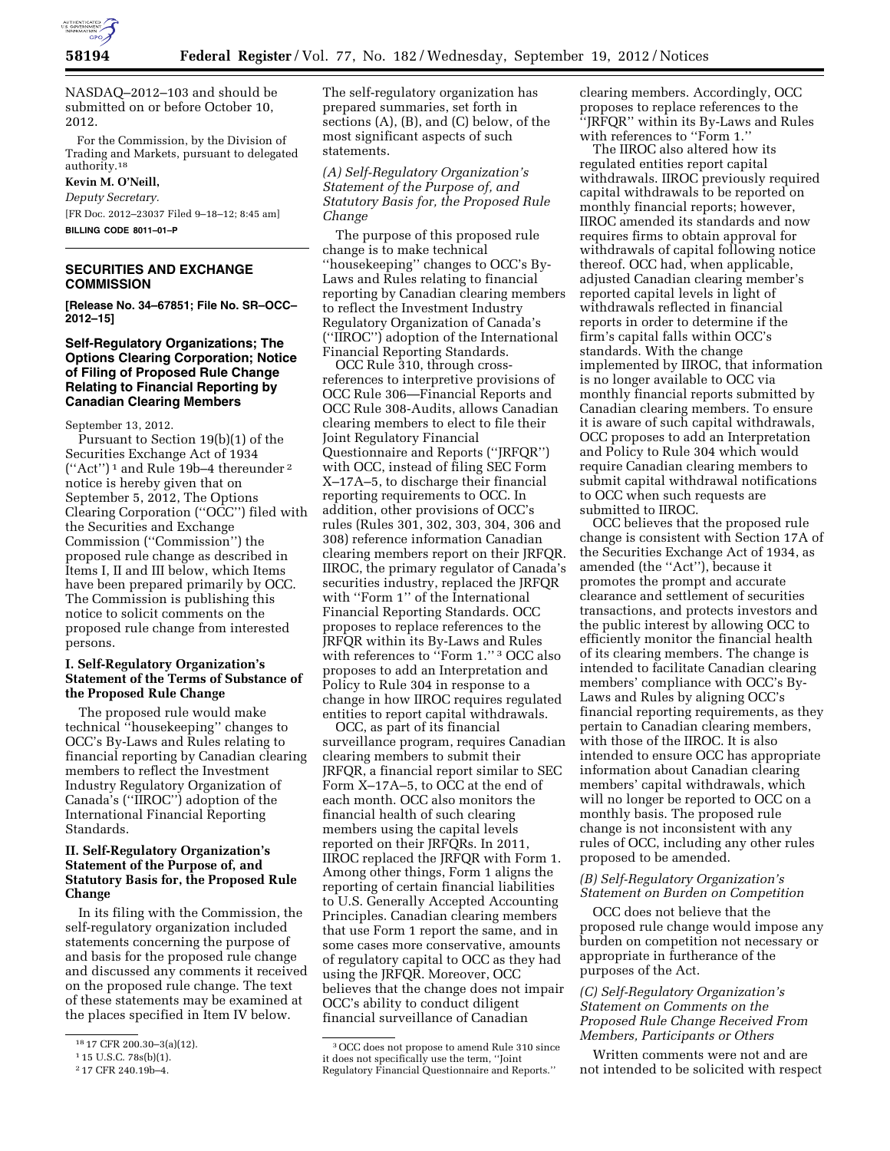

NASDAQ–2012–103 and should be submitted on or before October 10, 2012.

For the Commission, by the Division of Trading and Markets, pursuant to delegated authority.18

### **Kevin M. O'Neill,**

*Deputy Secretary.*  [FR Doc. 2012–23037 Filed 9–18–12; 8:45 am] **BILLING CODE 8011–01–P** 

# **SECURITIES AND EXCHANGE COMMISSION**

**[Release No. 34–67851; File No. SR–OCC– 2012–15]** 

# **Self-Regulatory Organizations; The Options Clearing Corporation; Notice of Filing of Proposed Rule Change Relating to Financial Reporting by Canadian Clearing Members**

September 13, 2012.

Pursuant to Section 19(b)(1) of the Securities Exchange Act of 1934 (''Act'') 1 and Rule 19b–4 thereunder 2 notice is hereby given that on September 5, 2012, The Options Clearing Corporation (''OCC'') filed with the Securities and Exchange Commission (''Commission'') the proposed rule change as described in Items I, II and III below, which Items have been prepared primarily by OCC. The Commission is publishing this notice to solicit comments on the proposed rule change from interested persons.

# **I. Self-Regulatory Organization's Statement of the Terms of Substance of the Proposed Rule Change**

The proposed rule would make technical ''housekeeping'' changes to OCC's By-Laws and Rules relating to financial reporting by Canadian clearing members to reflect the Investment Industry Regulatory Organization of Canada's (''IIROC'') adoption of the International Financial Reporting Standards.

# **II. Self-Regulatory Organization's Statement of the Purpose of, and Statutory Basis for, the Proposed Rule Change**

In its filing with the Commission, the self-regulatory organization included statements concerning the purpose of and basis for the proposed rule change and discussed any comments it received on the proposed rule change. The text of these statements may be examined at the places specified in Item IV below.

The self-regulatory organization has prepared summaries, set forth in sections (A), (B), and (C) below, of the most significant aspects of such statements.

*(A) Self-Regulatory Organization's Statement of the Purpose of, and Statutory Basis for, the Proposed Rule Change* 

The purpose of this proposed rule change is to make technical ''housekeeping'' changes to OCC's By-Laws and Rules relating to financial reporting by Canadian clearing members to reflect the Investment Industry Regulatory Organization of Canada's (''IIROC'') adoption of the International Financial Reporting Standards.

OCC Rule 310, through crossreferences to interpretive provisions of OCC Rule 306—Financial Reports and OCC Rule 308-Audits, allows Canadian clearing members to elect to file their Joint Regulatory Financial Questionnaire and Reports (''JRFQR'') with OCC, instead of filing SEC Form X–17A–5, to discharge their financial reporting requirements to OCC. In addition, other provisions of OCC's rules (Rules 301, 302, 303, 304, 306 and 308) reference information Canadian clearing members report on their JRFQR. IIROC, the primary regulator of Canada's securities industry, replaced the JRFQR with ''Form 1'' of the International Financial Reporting Standards. OCC proposes to replace references to the JRFQR within its By-Laws and Rules with references to "Form 1." <sup>3</sup> OCC also proposes to add an Interpretation and Policy to Rule 304 in response to a change in how IIROC requires regulated entities to report capital withdrawals.

OCC, as part of its financial surveillance program, requires Canadian clearing members to submit their JRFQR, a financial report similar to SEC Form X–17A–5, to OCC at the end of each month. OCC also monitors the financial health of such clearing members using the capital levels reported on their JRFQRs. In 2011, IIROC replaced the JRFQR with Form 1. Among other things, Form 1 aligns the reporting of certain financial liabilities to U.S. Generally Accepted Accounting Principles. Canadian clearing members that use Form 1 report the same, and in some cases more conservative, amounts of regulatory capital to OCC as they had using the JRFQR. Moreover, OCC believes that the change does not impair OCC's ability to conduct diligent financial surveillance of Canadian

clearing members. Accordingly, OCC proposes to replace references to the ''JRFQR'' within its By-Laws and Rules with references to ''Form 1.''

The IIROC also altered how its regulated entities report capital withdrawals. IIROC previously required capital withdrawals to be reported on monthly financial reports; however, IIROC amended its standards and now requires firms to obtain approval for withdrawals of capital following notice thereof. OCC had, when applicable, adjusted Canadian clearing member's reported capital levels in light of withdrawals reflected in financial reports in order to determine if the firm's capital falls within OCC's standards. With the change implemented by IIROC, that information is no longer available to OCC via monthly financial reports submitted by Canadian clearing members. To ensure it is aware of such capital withdrawals, OCC proposes to add an Interpretation and Policy to Rule 304 which would require Canadian clearing members to submit capital withdrawal notifications to OCC when such requests are submitted to IIROC.

OCC believes that the proposed rule change is consistent with Section 17A of the Securities Exchange Act of 1934, as amended (the ''Act''), because it promotes the prompt and accurate clearance and settlement of securities transactions, and protects investors and the public interest by allowing OCC to efficiently monitor the financial health of its clearing members. The change is intended to facilitate Canadian clearing members' compliance with OCC's By-Laws and Rules by aligning OCC's financial reporting requirements, as they pertain to Canadian clearing members, with those of the IIROC. It is also intended to ensure OCC has appropriate information about Canadian clearing members' capital withdrawals, which will no longer be reported to OCC on a monthly basis. The proposed rule change is not inconsistent with any rules of OCC, including any other rules proposed to be amended.

# *(B) Self-Regulatory Organization's Statement on Burden on Competition*

OCC does not believe that the proposed rule change would impose any burden on competition not necessary or appropriate in furtherance of the purposes of the Act.

## *(C) Self-Regulatory Organization's Statement on Comments on the Proposed Rule Change Received From Members, Participants or Others*

Written comments were not and are not intended to be solicited with respect

<sup>18</sup> 17 CFR 200.30–3(a)(12).

<sup>1</sup> 15 U.S.C. 78s(b)(1).

<sup>2</sup> 17 CFR 240.19b–4.

<sup>3</sup>OCC does not propose to amend Rule 310 since it does not specifically use the term, ''Joint Regulatory Financial Questionnaire and Reports.''